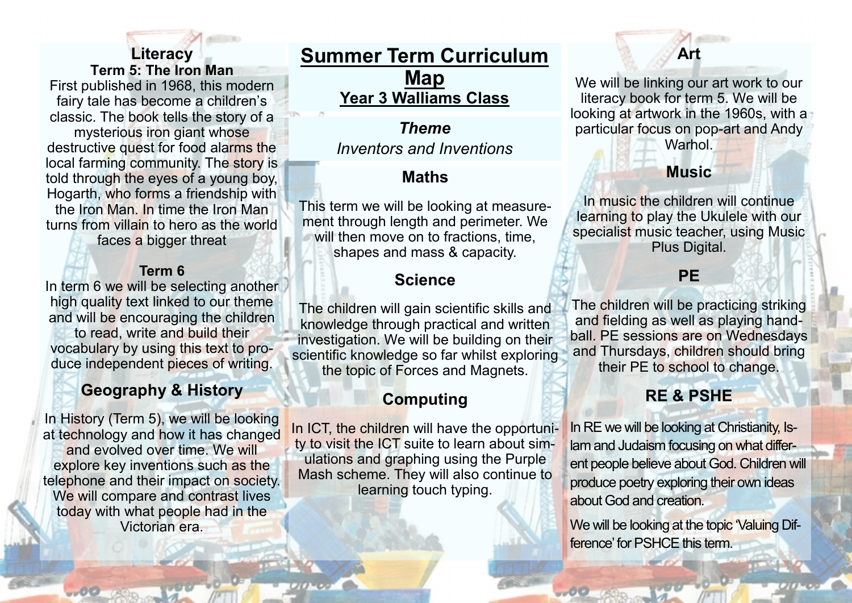# **Literacy Term 5: The Iron Man**

First published in 1968, this modern fairy tale has become a children's classic. The book tells the story of a mysterious iron giant whose destructive quest for food alarms the local farming community. The story is told through the eyes of a young boy, Hogarth, who forms a friendship with the Iron Man. In time the Iron Man

turns from villain to hero as the world faces a bigger threat

#### **Term 6**

In term 6 we will be selecting another high quality text linked to our theme and will be encouraging the children

to read, write and build their vocabulary by using this text to produce independent pieces of writing.

# **Geography & History**

In History (Term 5), we will be looking at technology and how it has changed and evolved over time. We will explore key inventions such as the telephone and their impact on society. We will compare and contrast lives today with what people had in the Victorian era.

**Summer Term Curriculum Map Year 3 Walliams Class**

> *Theme Inventors and Inventions*

## **Maths**

This term we will be looking at measurement through length and perimeter. We will then move on to fractions, time, shapes and mass & capacity.

### **Science**

The children will gain scientific skills and knowledge through practical and written investigation. We will be building on their scientific knowledge so far whilst exploring the topic of Forces and Magnets.

## **Computing**

In ICT, the children will have the opportunity to visit the ICT suite to learn about simulations and graphing using the Purple Mash scheme. They will also continue to learning touch typing.

# **Art**

We will be linking our art work to our literacy book for term 5. We will be looking at artwork in the 1960s, with a particular focus on pop-art and Andy Warhol.

### **Music**

In music the children will continue learning to play the Ukulele with our specialist music teacher, using Music Plus Digital.

#### **PE**

The children will be practicing striking and fielding as well as playing handball. PE sessions are on Wednesdays and Thursdays, children should bring their PE to school to change.

### **RE & PSHE**

In RE we will be looking at Christianity, Islam and Judaism focusing on what different people believe about God. Children will produce poetry exploring their own ideas about God and creation.

We will be looking at the topic 'Valuing Difference' for PSHCE this term.